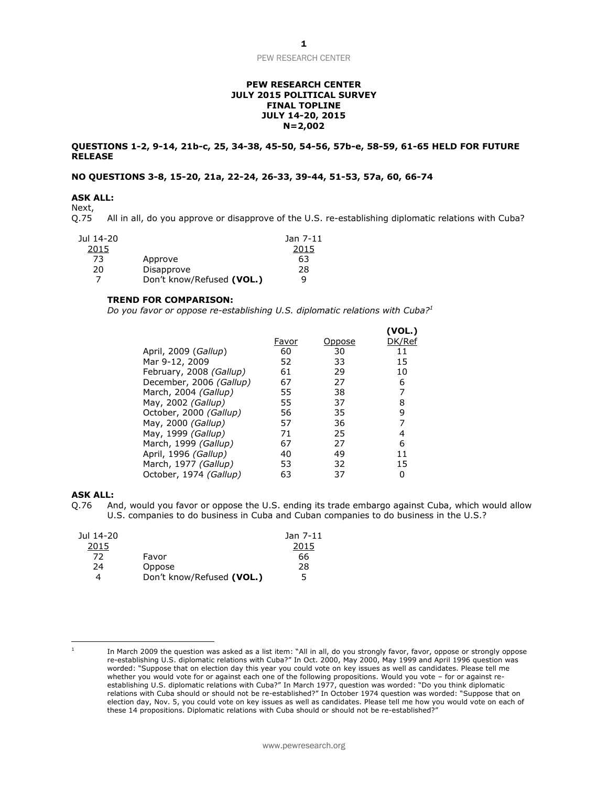# **PEW RESEARCH CENTER JULY 2015 POLITICAL SURVEY FINAL TOPLINE JULY 14-20, 2015 N=2,002**

# **QUESTIONS 1-2, 9-14, 21b-c, 25, 34-38, 45-50, 54-56, 57b-e, 58-59, 61-65 HELD FOR FUTURE RELEASE**

# **NO QUESTIONS 3-8, 15-20, 21a, 22-24, 26-33, 39-44, 51-53, 57a, 60, 66-74**

# **ASK ALL:**

Next,<br>Q.75 All in all, do you approve or disapprove of the U.S. re-establishing diplomatic relations with Cuba?

| Jul 14-20 |                           | Jan 7-11 |
|-----------|---------------------------|----------|
| 2015      |                           | 2015     |
| 73        | Approve                   | 63       |
| 20        | Disapprove                | 28       |
|           | Don't know/Refused (VOL.) | q        |

### **TREND FOR COMPARISON:**

*Do you favor or oppose re-establishing U.S. diplomatic relations with Cuba?<sup>1</sup>*

|                         |       |        | (VOL.) |
|-------------------------|-------|--------|--------|
|                         | Favor | Oppose | DK/Ref |
| April, 2009 (Gallup)    | 60    | 30     | 11     |
| Mar 9-12, 2009          | 52    | 33     | 15     |
| February, 2008 (Gallup) | 61    | 29     | 10     |
| December, 2006 (Gallup) | 67    | 27     | 6      |
| March, 2004 (Gallup)    | 55    | 38     | 7      |
| May, 2002 (Gallup)      | 55    | 37     | 8      |
| October, 2000 (Gallup)  | 56    | 35     | 9      |
| May, 2000 (Gallup)      | 57    | 36     | 7      |
| May, 1999 (Gallup)      | 71    | 25     | 4      |
| March, 1999 (Gallup)    | 67    | 27     | 6      |
| April, 1996 (Gallup)    | 40    | 49     | 11     |
| March, 1977 (Gallup)    | 53    | 32     | 15     |
| October, 1974 (Gallup)  | 63    | 37     | 0      |

## **ASK ALL:**

Q.76 And, would you favor or oppose the U.S. ending its trade embargo against Cuba, which would allow U.S. companies to do business in Cuba and Cuban companies to do business in the U.S.?

| Jul 14-20 |                           | Jan 7-11 |
|-----------|---------------------------|----------|
| 2015      |                           | 2015     |
| 72        | Favor                     | 66       |
| 24        | Oppose                    | 28       |
|           | Don't know/Refused (VOL.) | 5        |

 $\overline{a}$ 1

In March 2009 the question was asked as a list item: "All in all, do you strongly favor, favor, oppose or strongly oppose re-establishing U.S. diplomatic relations with Cuba?" In Oct. 2000, May 2000, May 1999 and April 1996 question was worded: "Suppose that on election day this year you could vote on key issues as well as candidates. Please tell me whether you would vote for or against each one of the following propositions. Would you vote – for or against reestablishing U.S. diplomatic relations with Cuba?" In March 1977, question was worded: "Do you think diplomatic relations with Cuba should or should not be re-established?" In October 1974 question was worded: "Suppose that on election day, Nov. 5, you could vote on key issues as well as candidates. Please tell me how you would vote on each of these 14 propositions. Diplomatic relations with Cuba should or should not be re-established?"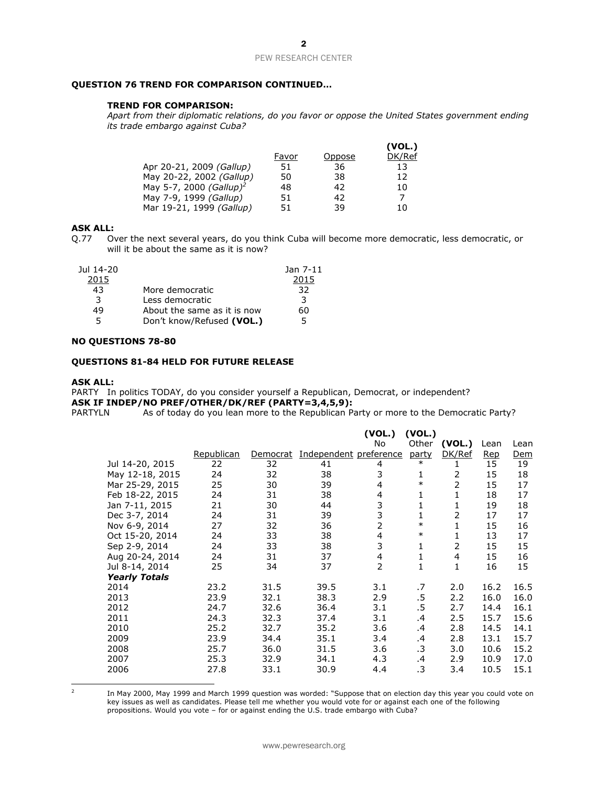# **QUESTION 76 TREND FOR COMPARISON CONTINUED…**

# **TREND FOR COMPARISON:**

*Apart from their diplomatic relations, do you favor or oppose the United States government ending its trade embargo against Cuba?*

|                                     |       |        | (VOL.) |
|-------------------------------------|-------|--------|--------|
|                                     | Favor | Oppose | DK/Ref |
| Apr 20-21, 2009 (Gallup)            | 51    | 36     | 13     |
| May 20-22, 2002 (Gallup)            | 50    | 38     | 12     |
| May 5-7, 2000 (Gallup) <sup>2</sup> | 48    | 42     | 10     |
| May 7-9, 1999 (Gallup)              | 51    | 42     | 7      |
| Mar 19-21, 1999 (Gallup)            | 51    | 39     | 10     |

# **ASK ALL:**

Q.77 Over the next several years, do you think Cuba will become more democratic, less democratic, or will it be about the same as it is now?

| Jul 14-20 |                             | Jan 7-11 |
|-----------|-----------------------------|----------|
| 2015      |                             | 2015     |
| 43        | More democratic             | 32       |
| 3         | Less democratic             | 3        |
| 49        | About the same as it is now | 60       |
| 5.        | Don't know/Refused (VOL.)   | 5        |

# **NO QUESTIONS 78-80**

# **QUESTIONS 81-84 HELD FOR FUTURE RELEASE**

#### **ASK ALL:**

PARTY In politics TODAY, do you consider yourself a Republican, Democrat, or independent? **ASK IF INDEP/NO PREF/OTHER/DK/REF (PARTY=3,4,5,9):**

PARTYLN As of today do you lean more to the Republican Party or more to the Democratic Party?

|                      |            |          |                        | (VOL.)         | (VOL.) |        |      |      |
|----------------------|------------|----------|------------------------|----------------|--------|--------|------|------|
|                      |            |          |                        | No             | Other  | (VOL.) | Lean | Lean |
|                      | Republican | Democrat | Independent preference |                | party  | DK/Ref | Rep  | Dem  |
| Jul 14-20, 2015      | 22         | 32       | 41                     | 4              | $\ast$ | 1      | 15   | 19   |
| May 12-18, 2015      | 24         | 32       | 38                     | 3              | 1      | 2      | 15   | 18   |
| Mar 25-29, 2015      | 25         | 30       | 39                     | 4              | $\ast$ | 2      | 15   | 17   |
| Feb 18-22, 2015      | 24         | 31       | 38                     | 4              | 1      | 1      | 18   | 17   |
| Jan 7-11, 2015       | 21         | 30       | 44                     | 3              | 1      | 1      | 19   | 18   |
| Dec 3-7, 2014        | 24         | 31       | 39                     | 3              | 1      | 2      | 17   | 17   |
| Nov 6-9, 2014        | 27         | 32       | 36                     | $\overline{2}$ | $\ast$ | 1      | 15   | 16   |
| Oct 15-20, 2014      | 24         | 33       | 38                     | 4              | $\ast$ | 1      | 13   | 17   |
| Sep 2-9, 2014        | 24         | 33       | 38                     | 3              | 1      | 2      | 15   | 15   |
| Aug 20-24, 2014      | 24         | 31       | 37                     | $\overline{4}$ | 1      | 4      | 15   | 16   |
| Jul 8-14, 2014       | 25         | 34       | 37                     | $\overline{2}$ | 1      | 1      | 16   | 15   |
| <b>Yearly Totals</b> |            |          |                        |                |        |        |      |      |
| 2014                 | 23.2       | 31.5     | 39.5                   | 3.1            | .7     | 2.0    | 16.2 | 16.5 |
| 2013                 | 23.9       | 32.1     | 38.3                   | 2.9            | .5     | 2.2    | 16.0 | 16.0 |
| 2012                 | 24.7       | 32.6     | 36.4                   | 3.1            | .5     | 2.7    | 14.4 | 16.1 |
| 2011                 | 24.3       | 32.3     | 37.4                   | 3.1            | .4     | 2.5    | 15.7 | 15.6 |
| 2010                 | 25.2       | 32.7     | 35.2                   | 3.6            | .4     | 2.8    | 14.5 | 14.1 |
| 2009                 | 23.9       | 34.4     | 35.1                   | 3.4            | .4     | 2.8    | 13.1 | 15.7 |
| 2008                 | 25.7       | 36.0     | 31.5                   | 3.6            | .3     | 3.0    | 10.6 | 15.2 |
| 2007                 | 25.3       | 32.9     | 34.1                   | 4.3            | .4     | 2.9    | 10.9 | 17.0 |
| 2006                 | 27.8       | 33.1     | 30.9                   | 4.4            | .3     | 3.4    | 10.5 | 15.1 |

 $\frac{1}{2}$ 

In May 2000, May 1999 and March 1999 question was worded: "Suppose that on election day this year you could vote on key issues as well as candidates. Please tell me whether you would vote for or against each one of the following propositions. Would you vote - for or against ending the U.S. trade embargo with Cuba?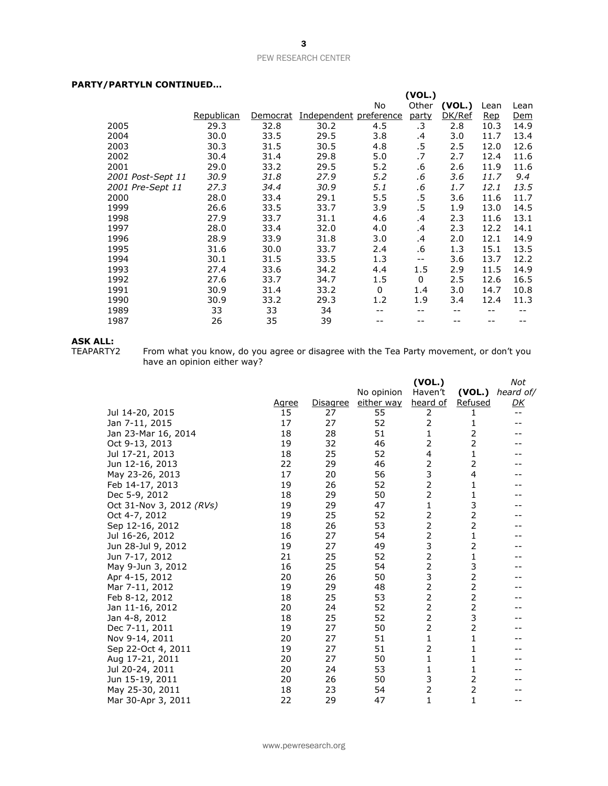# **PARTY/PARTYLN CONTINUED…**

| , ART LER CORTEROLD |            |          |                        |              |        |        |      |            |
|---------------------|------------|----------|------------------------|--------------|--------|--------|------|------------|
|                     |            |          |                        |              | (VOL.) |        |      |            |
|                     |            |          |                        | No           | Other  | (VOL.) | Lean | Lean       |
|                     | Republican | Democrat | Independent preference |              | party  | DK/Ref | Rep  | <u>Dem</u> |
| 2005                | 29.3       | 32.8     | 30.2                   | 4.5          | .3     | 2.8    | 10.3 | 14.9       |
| 2004                | 30.0       | 33.5     | 29.5                   | 3.8          | .4     | 3.0    | 11.7 | 13.4       |
| 2003                | 30.3       | 31.5     | 30.5                   | 4.8          | .5     | 2.5    | 12.0 | 12.6       |
| 2002                | 30.4       | 31.4     | 29.8                   | 5.0          | .7     | 2.7    | 12.4 | 11.6       |
| 2001                | 29.0       | 33.2     | 29.5                   | 5.2          | .6     | 2.6    | 11.9 | 11.6       |
| 2001 Post-Sept 11   | 30.9       | 31.8     | 27.9                   | 5.2          | .6     | 3.6    | 11.7 | 9.4        |
| 2001 Pre-Sept 11    | 27.3       | 34.4     | 30.9                   | 5.1          | .6     | 1.7    | 12.1 | 13.5       |
| 2000                | 28.0       | 33.4     | 29.1                   | 5.5          | .5     | 3.6    | 11.6 | 11.7       |
| 1999                | 26.6       | 33.5     | 33.7                   | 3.9          | .5     | 1.9    | 13.0 | 14.5       |
| 1998                | 27.9       | 33.7     | 31.1                   | 4.6          | .4     | 2.3    | 11.6 | 13.1       |
| 1997                | 28.0       | 33.4     | 32.0                   | 4.0          | .4     | 2.3    | 12.2 | 14.1       |
| 1996                | 28.9       | 33.9     | 31.8                   | 3.0          | .4     | 2.0    | 12.1 | 14.9       |
| 1995                | 31.6       | 30.0     | 33.7                   | 2.4          | .6     | 1.3    | 15.1 | 13.5       |
| 1994                | 30.1       | 31.5     | 33.5                   | 1.3          | $-$    | 3.6    | 13.7 | 12.2       |
| 1993                | 27.4       | 33.6     | 34.2                   | 4.4          | 1.5    | 2.9    | 11.5 | 14.9       |
| 1992                | 27.6       | 33.7     | 34.7                   | 1.5          | 0      | 2.5    | 12.6 | 16.5       |
| 1991                | 30.9       | 31.4     | 33.2                   | $\mathbf{0}$ | 1.4    | 3.0    | 14.7 | 10.8       |
| 1990                | 30.9       | 33.2     | 29.3                   | 1.2          | 1.9    | 3.4    | 12.4 | 11.3       |
| 1989                | 33         | 33       | 34                     |              |        |        |      |            |
| 1987                | 26         | 35       | 39                     |              |        |        |      |            |
|                     |            |          |                        |              |        |        |      |            |

# **ASK ALL:**<br>TEAPARTY2

TEAPARTY2 From what you know, do you agree or disagree with the Tea Party movement, or don't you have an opinion either way?

|                          |       |                 |            | (VOL.)         |                | Not               |
|--------------------------|-------|-----------------|------------|----------------|----------------|-------------------|
|                          |       |                 | No opinion | Haven't        | (VOL.)         | heard of/         |
|                          | Agree | <b>Disagree</b> | either way | heard of       | <b>Refused</b> | <u>DК</u>         |
| Jul 14-20, 2015          | 15    | 27              | 55         | 2              | 1              | $\qquad \qquad -$ |
| Jan 7-11, 2015           | 17    | 27              | 52         | $\overline{2}$ | 1              |                   |
| Jan 23-Mar 16, 2014      | 18    | 28              | 51         | 1              | 2              |                   |
| Oct 9-13, 2013           | 19    | 32              | 46         | $\overline{2}$ | $\overline{2}$ |                   |
| Jul 17-21, 2013          | 18    | 25              | 52         | 4              | 1              |                   |
| Jun 12-16, 2013          | 22    | 29              | 46         | 2              | 2              |                   |
| May 23-26, 2013          | 17    | 20              | 56         | 3              | 4              |                   |
| Feb 14-17, 2013          | 19    | 26              | 52         | $\overline{2}$ | 1              |                   |
| Dec 5-9, 2012            | 18    | 29              | 50         | $\overline{2}$ | 1              |                   |
| Oct 31-Nov 3, 2012 (RVs) | 19    | 29              | 47         | $\mathbf{1}$   | 3              |                   |
| Oct 4-7, 2012            | 19    | 25              | 52         | 2              | 2              |                   |
| Sep 12-16, 2012          | 18    | 26              | 53         | $\overline{2}$ | 2              |                   |
| Jul 16-26, 2012          | 16    | 27              | 54         | 2              | 1              |                   |
| Jun 28-Jul 9, 2012       | 19    | 27              | 49         | 3              | 2              |                   |
| Jun 7-17, 2012           | 21    | 25              | 52         | $\overline{2}$ | 1              |                   |
| May 9-Jun 3, 2012        | 16    | 25              | 54         | $\overline{2}$ | 3              |                   |
| Apr 4-15, 2012           | 20    | 26              | 50         | 3              | 2              |                   |
| Mar 7-11, 2012           | 19    | 29              | 48         | $\overline{2}$ | 2              |                   |
| Feb 8-12, 2012           | 18    | 25              | 53         | $\overline{2}$ | $\overline{2}$ |                   |
| Jan 11-16, 2012          | 20    | 24              | 52         | $\overline{2}$ | 2              |                   |
| Jan 4-8, 2012            | 18    | 25              | 52         | $\overline{2}$ | 3              |                   |
| Dec 7-11, 2011           | 19    | 27              | 50         | $\overline{2}$ | $\overline{2}$ |                   |
| Nov 9-14, 2011           | 20    | 27              | 51         | 1              | 1              |                   |
| Sep 22-Oct 4, 2011       | 19    | 27              | 51         | $\overline{2}$ | 1              |                   |
| Aug 17-21, 2011          | 20    | 27              | 50         | 1              | 1              |                   |
| Jul 20-24, 2011          | 20    | 24              | 53         | 1              | 1              |                   |
| Jun 15-19, 2011          | 20    | 26              | 50         | 3              | $\overline{2}$ |                   |
| May 25-30, 2011          | 18    | 23              | 54         | 2              | $\overline{2}$ |                   |
| Mar 30-Apr 3, 2011       | 22    | 29              | 47         | 1              | 1              | --                |